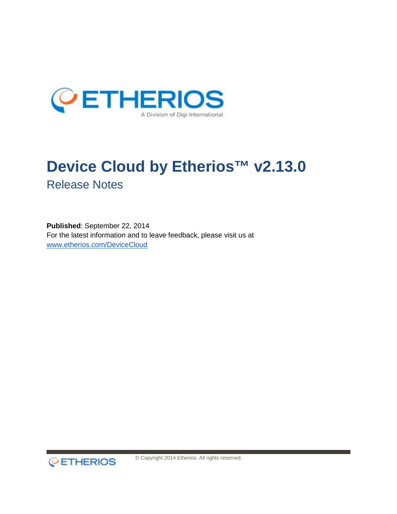

# **Device Cloud by Etherios™ v2.13.0** Release Notes

**Published**: September 22, 2014 For the latest information and to leave feedback, please visit us at [www.etherios.com/DeviceCloud](http://www.etherios.com/DeviceCloud)



© Copyright 2014 Etherios. All rights reserved.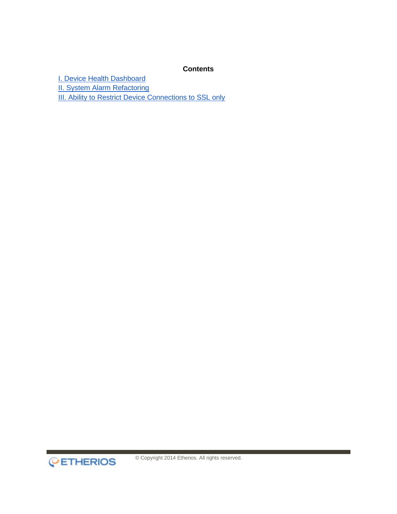#### **Contents**

**[I. Device Health Dashboard](#page-2-0)** 

**[II. System Alarm Refactoring](#page-2-1)** 

**[III. Ability to Restrict Device Connections to SSL only](#page-2-2)**